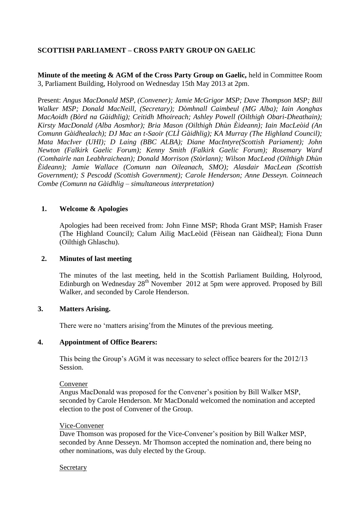# **SCOTTISH PARLIAMENT – CROSS PARTY GROUP ON GAELIC**

**Minute of the meeting & AGM of the Cross Party Group on Gaelic,** held in Committee Room 3, Parliament Building, Holyrood on Wednesday 15th May 2013 at 2pm.

Present: *Angus MacDonald MSP, (Convener); Jamie McGrigor MSP; Dave Thompson MSP; Bill Walker MSP; Donald MacNeill, (Secretary); Dòmhnall Caimbeul (MG Alba); Iain Aonghas MacAoidh (Bòrd na Gàidhlig); Ceitidh Mhoireach; Ashley Powell (Oilthigh Obari-Dheathain); Kirsty MacDonald (Alba Aosmhor); Bria Mason (Oilthigh Dhùn Èideann); Iain MacLeòid (An Comunn Gàidhealach); DJ Mac an t-Saoir (CLÌ Gàidhlig); KA Murray (The Highland Council); Mata MacIver (UHI); D Laing (BBC ALBA); Diane MacIntyre(Scottish Pariament); John Newton (Falkirk Gaelic Forum); Kenny Smith (Falkirk Gaelic Forum); Rosemary Ward (Comhairle nan Leabhraichean); Donald Morrison (Stòrlann); Wilson MacLeod (Oilthigh Dhùn Èideann); Jamie Wallace (Comunn nan Oileanach, SMO); Alasdair MacLean (Scottish Government); S Pescodd (Scottish Government); Carole Henderson; Anne Desseyn. Coinneach Combe (Comunn na Gàidhlig – simultaneous interpretation)*

### **1. Welcome & Apologies**

Apologies had been received from: John Finne MSP; Rhoda Grant MSP; Hamish Fraser (The Highland Council); Calum Ailig MacLeòid (Fèisean nan Gàidheal); Fiona Dunn (Oilthigh Ghlaschu).

#### **2. Minutes of last meeting**

The minutes of the last meeting, held in the Scottish Parliament Building, Holyrood, Edinburgh on Wednesday 28<sup>th</sup> November 2012 at 5pm were approved. Proposed by Bill Walker, and seconded by Carole Henderson.

#### **3. Matters Arising.**

There were no 'matters arising'from the Minutes of the previous meeting.

#### **4. Appointment of Office Bearers:**

This being the Group's AGM it was necessary to select office bearers for the 2012/13 Session.

#### Convener

Angus MacDonald was proposed for the Convener's position by Bill Walker MSP, seconded by Carole Henderson. Mr MacDonald welcomed the nomination and accepted election to the post of Convener of the Group.

#### Vice-Convener

Dave Thomson was proposed for the Vice-Convener's position by Bill Walker MSP, seconded by Anne Desseyn. Mr Thomson accepted the nomination and, there being no other nominations, was duly elected by the Group.

#### Secretary